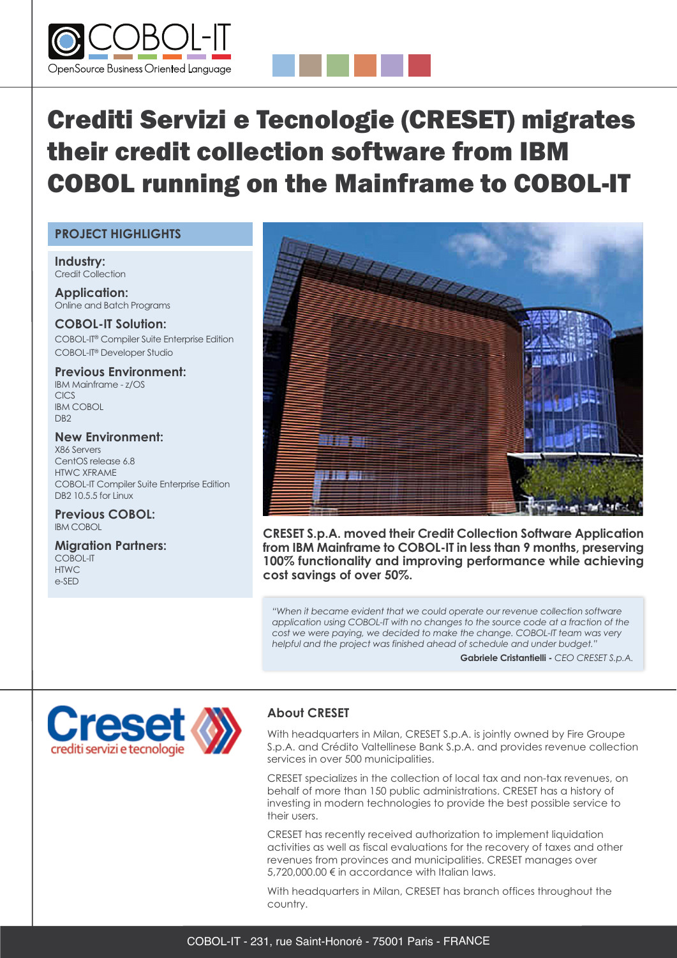



# Crediti Servizi e Tecnologie (CRESET) migrates their credit collection software from IBM COBOL running on the Mainframe to COBOL-IT

#### **PROJECT HIGHLIGHTS**

**Industry:** Credit Collection

**Application:** Online and Batch Programs

**COBOL-IT Solution:** COBOL-IT® Compiler Suite Enterprise Edition COBOL-IT® Developer Studio

**Previous Environment:** IBM Mainframe - z/OS CICS IBM COBOL D<sub>R2</sub>

**New Environment:** X86 Servers CentOS release 6.8 HTWC XFRAME COBOL-IT Compiler Suite Enterprise Edition DB2 10.5.5 for Linux

**Previous COBOL:** IBM COBOL

**Migration Partners:** COBOL-IT HTWC e-SED



**CRESET S.p.A. moved their Credit Collection Software Application from IBM Mainframe to COBOL-IT in less than 9 months, preserving 100% functionality and improving performance while achieving cost savings of over 50%.**

*"When it became evident that we could operate our revenue collection software application using COBOL-IT with no changes to the source code at a fraction of the cost we were paying, we decided to make the change. COBOL-IT team was very helpful and the project was finished ahead of schedule and under budget."*

**Gabriele Cristantielli -** *CEO CRESET S.p.A.*



### **About CRESET**

With headquarters in Milan, CRESET S.p.A. is jointly owned by Fire Groupe S.p.A. and Crédito Valtellinese Bank S.p.A. and provides revenue collection services in over 500 municipalities.

CRESET specializes in the collection of local tax and non-tax revenues, on behalf of more than 150 public administrations. CRESET has a history of investing in modern technologies to provide the best possible service to their users.

CRESET has recently received authorization to implement liquidation activities as well as fiscal evaluations for the recovery of taxes and other revenues from provinces and municipalities. CRESET manages over 5,720,000.00 € in accordance with Italian laws.

With headquarters in Milan, CRESET has branch offices throughout the country.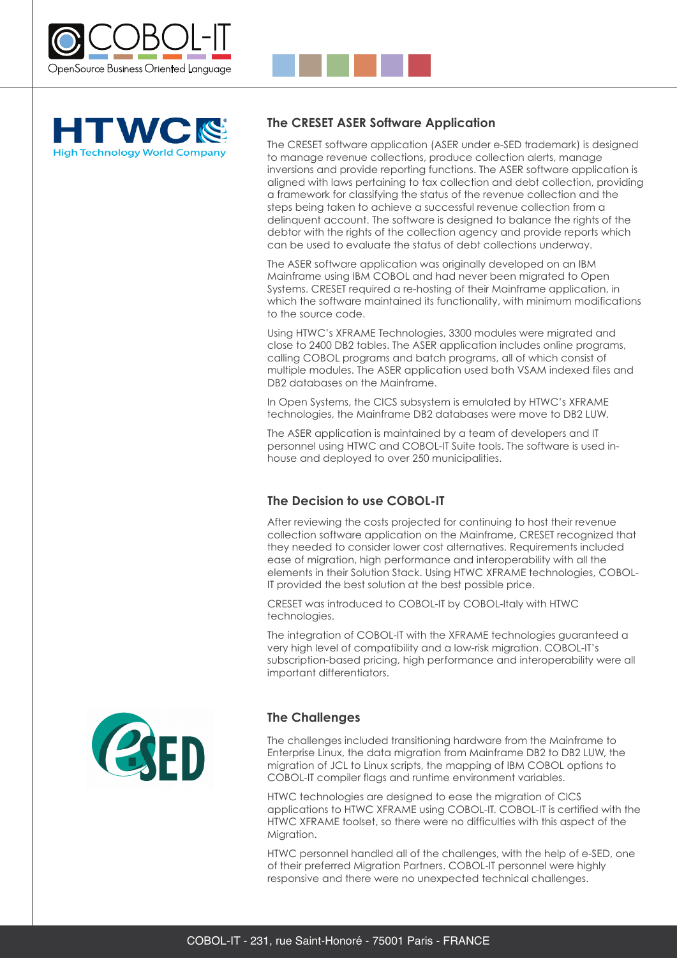



#### **The CRESET ASER Software Application**

The CRESET software application (ASER under e-SED trademark) is designed to manage revenue collections, produce collection alerts, manage inversions and provide reporting functions. The ASER software application is aligned with laws pertaining to tax collection and debt collection, providing a framework for classifying the status of the revenue collection and the steps being taken to achieve a successful revenue collection from a delinquent account. The software is designed to balance the rights of the debtor with the rights of the collection agency and provide reports which can be used to evaluate the status of debt collections underway.

The ASER software application was originally developed on an IBM Mainframe using IBM COBOL and had never been migrated to Open Systems. CRESET required a re-hosting of their Mainframe application, in which the software maintained its functionality, with minimum modifications to the source code.

Using HTWC's XFRAME Technologies, 3300 modules were migrated and close to 2400 DB2 tables. The ASER application includes online programs, calling COBOL programs and batch programs, all of which consist of multiple modules. The ASER application used both VSAM indexed files and DB2 databases on the Mainframe.

In Open Systems, the CICS subsystem is emulated by HTWC's XFRAME technologies, the Mainframe DB2 databases were move to DB2 LUW.

The ASER application is maintained by a team of developers and IT personnel using HTWC and COBOL-IT Suite tools. The software is used inhouse and deployed to over 250 municipalities.

### **The Decision to use COBOL-IT**

After reviewing the costs projected for continuing to host their revenue collection software application on the Mainframe, CRESET recognized that they needed to consider lower cost alternatives. Requirements included ease of migration, high performance and interoperability with all the elements in their Solution Stack. Using HTWC XFRAME technologies, COBOL-IT provided the best solution at the best possible price.

CRESET was introduced to COBOL-IT by COBOL-Italy with HTWC technologies.

The integration of COBOL-IT with the XFRAME technologies guaranteed a very high level of compatibility and a low-risk migration. COBOL-IT's subscription-based pricing, high performance and interoperability were all important differentiators.



#### **The Challenges**

The challenges included transitioning hardware from the Mainframe to Enterprise Linux, the data migration from Mainframe DB2 to DB2 LUW, the migration of JCL to Linux scripts, the mapping of IBM COBOL options to COBOL-IT compiler flags and runtime environment variables.

HTWC technologies are designed to ease the migration of CICS applications to HTWC XFRAME using COBOL-IT. COBOL-IT is certified with the HTWC XFRAME toolset, so there were no difficulties with this aspect of the Migration.

HTWC personnel handled all of the challenges, with the help of e-SED, one of their preferred Migration Partners. COBOL-IT personnel were highly responsive and there were no unexpected technical challenges.